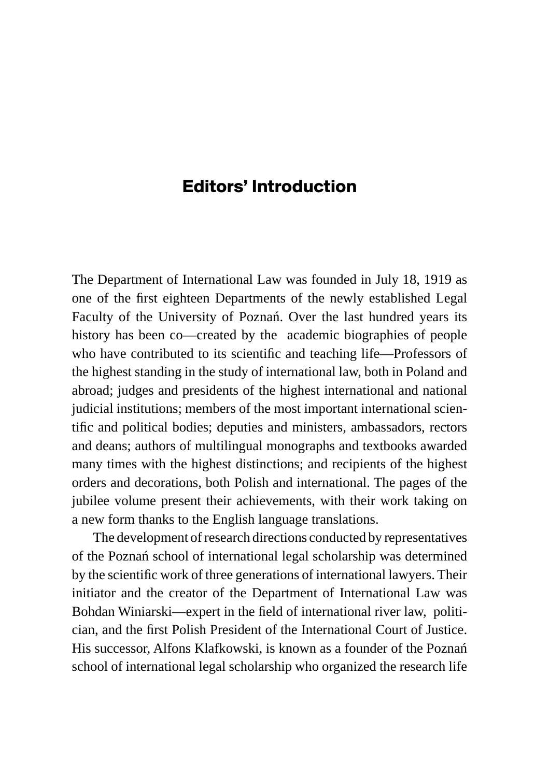## **Editors' Introduction**

The Department of International Law was founded in July 18, 1919 as one of the first eighteen Departments of the newly established Legal Faculty of the University of Poznań. Over the last hundred years its history has been co—created by the academic biographies of people who have contributed to its scientific and teaching life—Professors of the highest standing in the study of international law, both in Poland and abroad; judges and presidents of the highest international and national judicial institutions; members of the most important international scientific and political bodies; deputies and ministers, ambassadors, rectors and deans; authors of multilingual monographs and textbooks awarded many times with the highest distinctions; and recipients of the highest orders and decorations, both Polish and international. The pages of the jubilee volume present their achievements, with their work taking on a new form thanks to the English language translations.

The development of research directions conducted by representatives of the Poznań school of international legal scholarship was determined by the scientific work of three generations of international lawyers. Their initiator and the creator of the Department of International Law was Bohdan Winiarski—expert in the field of international river law, politician, and the first Polish President of the International Court of Justice. His successor, Alfons Klafkowski, is known as a founder of the Poznań school of international legal scholarship who organized the research life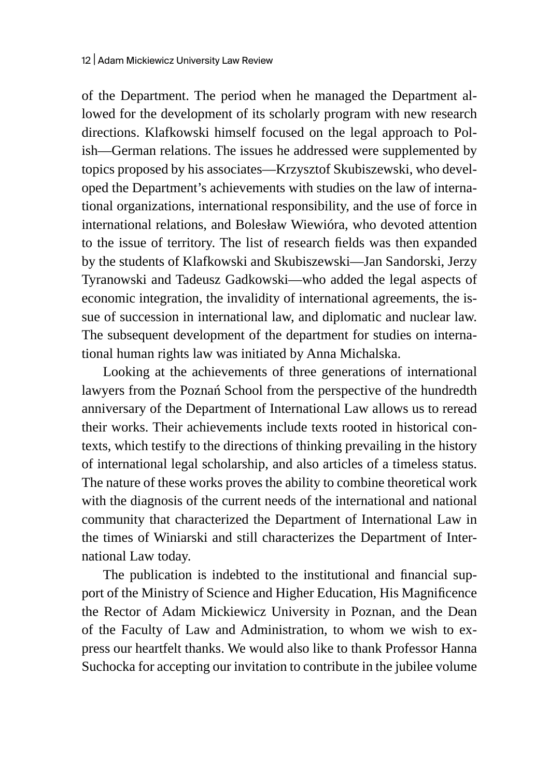of the Department. The period when he managed the Department allowed for the development of its scholarly program with new research directions. Klafkowski himself focused on the legal approach to Polish—German relations. The issues he addressed were supplemented by topics proposed by his associates—Krzysztof Skubiszewski, who developed the Department's achievements with studies on the law of international organizations, international responsibility, and the use of force in international relations, and Bolesław Wiewióra, who devoted attention to the issue of territory. The list of research fields was then expanded by the students of Klafkowski and Skubiszewski—Jan Sandorski, Jerzy Tyranowski and Tadeusz Gadkowski—who added the legal aspects of economic integration, the invalidity of international agreements, the issue of succession in international law, and diplomatic and nuclear law. The subsequent development of the department for studies on international human rights law was initiated by Anna Michalska.

Looking at the achievements of three generations of international lawyers from the Poznań School from the perspective of the hundredth anniversary of the Department of International Law allows us to reread their works. Their achievements include texts rooted in historical contexts, which testify to the directions of thinking prevailing in the history of international legal scholarship, and also articles of a timeless status. The nature of these works proves the ability to combine theoretical work with the diagnosis of the current needs of the international and national community that characterized the Department of International Law in the times of Winiarski and still characterizes the Department of International Law today.

The publication is indebted to the institutional and financial support of the Ministry of Science and Higher Education, His Magnificence the Rector of Adam Mickiewicz University in Poznan, and the Dean of the Faculty of Law and Administration, to whom we wish to express our heartfelt thanks. We would also like to thank Professor Hanna Suchocka for accepting our invitation to contribute in the jubilee volume